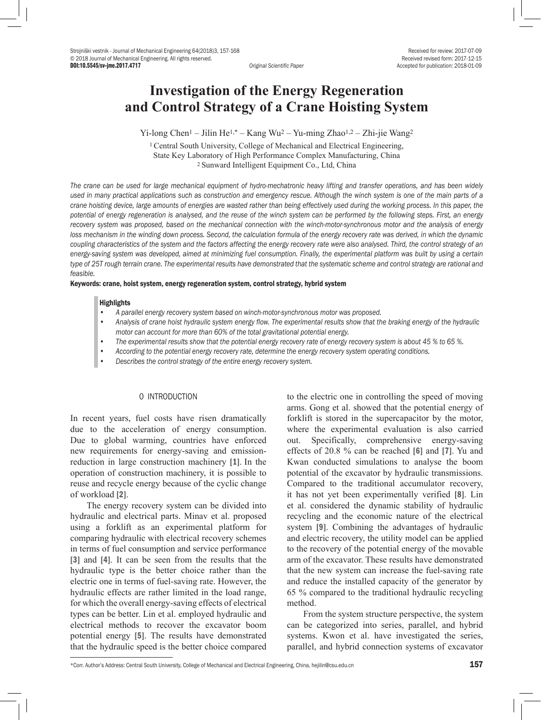Strojniški vestnik - Journal of Mechanical Engineering 64(2018)3, 157-168 <br>
© 2018 Journal of Mechanical Engineering. All rights reserved.<br>
© 2018 Journal of Mechanical Engineering. All rights reserved. © 2018 Journal of Mechanical Engineering. All rights reserved.<br> **DOI:10.5545/sv-ime.2017.4717**<br> **Recentific Paner** 

Accepted for publication: 2018-01-09

# **Investigation of the Energy Regeneration and Control Strategy of a Crane Hoisting System**

Yi-long Chen1 – Jilin He1,\* – Kang Wu2 – Yu-ming Zhao1,2 – Zhi-jie Wang2

1 Central South University, College of Mechanical and Electrical Engineering, State Key Laboratory of High Performance Complex Manufacturing, China 2 Sunward Intelligent Equipment Co., Ltd, China

*The crane can be used for large mechanical equipment of hydro-mechatronic heavy lifting and transfer operations, and has been widely used in many practical applications such as construction and emergency rescue. Although the winch system is one of the main parts of a crane hoisting device, large amounts of energies are wasted rather than being effectively used during the working process. In this paper, the potential of energy regeneration is analysed, and the reuse of the winch system can be performed by the following steps. First, an energy recovery system was proposed, based on the mechanical connection with the winch-motor-synchronous motor and the analysis of energy*  loss mechanism in the winding down process. Second, the calculation formula of the energy recovery rate was derived, in which the dynamic *coupling characteristics of the system and the factors affecting the energy recovery rate were also analysed. Third, the control strategy of an energy-saving system was developed, aimed at minimizing fuel consumption. Finally, the experimental platform was built by using a certain type of 25T rough terrain crane. The experimental results have demonstrated that the systematic scheme and control strategy are rational and feasible.*

#### Keywords: crane, hoist system, energy regeneration system, control strategy, hybrid system

#### **Highlights**

- *• A parallel energy recovery system based on winch-motor-synchronous motor was proposed.*
- *• Analysis of crane hoist hydraulic system energy flow. The experimental results show that the braking energy of the hydraulic motor can account for more than 60% of the total gravitational potential energy.*
- *• The experimental results show that the potential energy recovery rate of energy recovery system is about 45 % to 65 %.*
- *• According to the potential energy recovery rate, determine the energy recovery system operating conditions.*
- *• Describes the control strategy of the entire energy recovery system.*

# 0 INTRODUCTION

In recent years, fuel costs have risen dramatically due to the acceleration of energy consumption. Due to global warming, countries have enforced new requirements for energy-saving and emissionreduction in large construction machinery [1]. In the operation of construction machinery, it is possible to reuse and recycle energy because of the cyclic change of workload [2].

The energy recovery system can be divided into hydraulic and electrical parts. Minav et al. proposed using a forklift as an experimental platform for comparing hydraulic with electrical recovery schemes in terms of fuel consumption and service performance [3] and [4]. It can be seen from the results that the hydraulic type is the better choice rather than the electric one in terms of fuel-saving rate. However, the hydraulic effects are rather limited in the load range, for which the overall energy-saving effects of electrical types can be better. Lin et al. employed hydraulic and electrical methods to recover the excavator boom potential energy [5]. The results have demonstrated that the hydraulic speed is the better choice compared

to the electric one in controlling the speed of moving arms. Gong et al. showed that the potential energy of forklift is stored in the supercapacitor by the motor, where the experimental evaluation is also carried out. Specifically, comprehensive energy-saving effects of 20.8 % can be reached [6] and [7]. Yu and Kwan conducted simulations to analyse the boom potential of the excavator by hydraulic transmissions. Compared to the traditional accumulator recovery, it has not yet been experimentally verified [8]. Lin et al. considered the dynamic stability of hydraulic recycling and the economic nature of the electrical system [9]. Combining the advantages of hydraulic and electric recovery, the utility model can be applied to the recovery of the potential energy of the movable arm of the excavator. These results have demonstrated that the new system can increase the fuel-saving rate and reduce the installed capacity of the generator by 65 % compared to the traditional hydraulic recycling method.

From the system structure perspective, the system can be categorized into series, parallel, and hybrid systems. Kwon et al. have investigated the series, parallel, and hybrid connection systems of excavator

<sup>\*</sup>Corr. Author's Address: Central South University, College of Mechanical and Electrical Engineering, China, heiilin@csu.edu.cn 157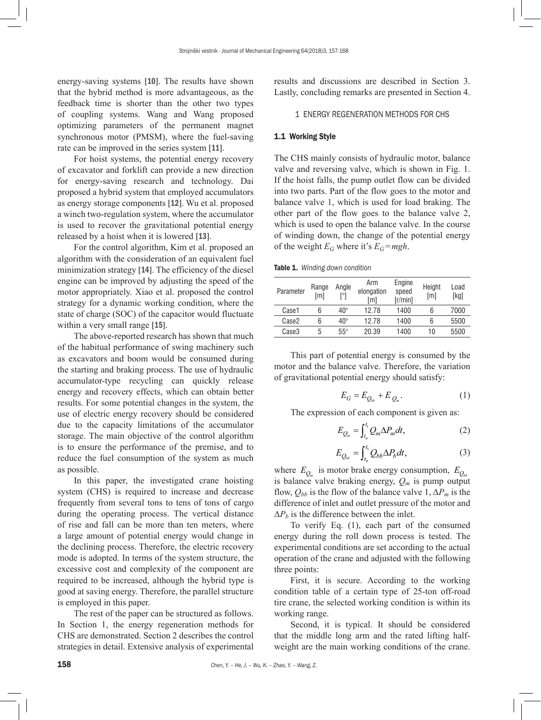energy-saving systems [10]. The results have shown that the hybrid method is more advantageous, as the feedback time is shorter than the other two types of coupling systems. Wang and Wang proposed optimizing parameters of the permanent magnet synchronous motor (PMSM), where the fuel-saving rate can be improved in the series system [11].

For hoist systems, the potential energy recovery of excavator and forklift can provide a new direction for energy-saving research and technology. Dai proposed a hybrid system that employed accumulators as energy storage components [12]. Wu et al. proposed a winch two-regulation system, where the accumulator is used to recover the gravitational potential energy released by a hoist when it is lowered [13].

For the control algorithm, Kim et al. proposed an algorithm with the consideration of an equivalent fuel minimization strategy [14]. The efficiency of the diesel engine can be improved by adjusting the speed of the motor appropriately. Xiao et al. proposed the control strategy for a dynamic working condition, where the state of charge (SOC) of the capacitor would fluctuate within a very small range [15].

The above-reported research has shown that much of the habitual performance of swing machinery such as excavators and boom would be consumed during the starting and braking process. The use of hydraulic accumulator-type recycling can quickly release energy and recovery effects, which can obtain better results. For some potential changes in the system, the use of electric energy recovery should be considered due to the capacity limitations of the accumulator storage. The main objective of the control algorithm is to ensure the performance of the premise, and to reduce the fuel consumption of the system as much as possible.

In this paper, the investigated crane hoisting system (CHS) is required to increase and decrease frequently from several tons to tens of tons of cargo during the operating process. The vertical distance of rise and fall can be more than ten meters, where a large amount of potential energy would change in the declining process. Therefore, the electric recovery mode is adopted. In terms of the system structure, the excessive cost and complexity of the component are required to be increased, although the hybrid type is good at saving energy. Therefore, the parallel structure is employed in this paper.

The rest of the paper can be structured as follows. In Section 1, the energy regeneration methods for CHS are demonstrated. Section 2 describes the control strategies in detail. Extensive analysis of experimental results and discussions are described in Section 3. Lastly, concluding remarks are presented in Section 4.

#### 1 ENERGY REGENERATION METHODS FOR CHS

#### 1.1 Working Style

The CHS mainly consists of hydraulic motor, balance valve and reversing valve, which is shown in Fig. 1. If the hoist falls, the pump outlet flow can be divided into two parts. Part of the flow goes to the motor and balance valve 1, which is used for load braking. The other part of the flow goes to the balance valve 2, which is used to open the balance valve. In the course of winding down, the change of the potential energy of the weight  $E_G$  where it's  $E_G = mgh$ .

Table 1. *Winding down condition*

| Parameter | Range<br>[m] | Angle<br>[°] | Arm<br>elongation<br>[m] | Engine<br>speed<br>[r/min] | Height<br>[m] | Load<br>[kg] |
|-----------|--------------|--------------|--------------------------|----------------------------|---------------|--------------|
| Case1     | հ            | $40^{\circ}$ | 12.78                    | 1400                       | 6             | 7000         |
| Case2     | հ            | $40^{\circ}$ | 12.78                    | 1400                       | 6             | 5500         |
| Case3     | 5            | $55^{\circ}$ | 20.39                    | 1400                       | 10            | 5500         |

This part of potential energy is consumed by the motor and the balance valve. Therefore, the variation of gravitational potential energy should satisfy:

$$
E_G = E_{Q_{bb}} + E_{Q_m}.\tag{1}
$$

The expression of each component is given as:

$$
E_{Q_m} = \int_{t_0}^{t_1} Q_m \Delta P_m dt, \qquad (2)
$$

$$
E_{Q_{bb}} = \int_{t_0}^{t_1} Q_{bb} \Delta P_b dt, \qquad (3)
$$

where  $E_{Q_m}$  is motor brake energy consumption,  $E_{Q_{b}b}$ is balance valve braking energy,  $Q_m$  is pump output flow,  $Q_{bb}$  is the flow of the balance valve 1,  $\Delta P_m$  is the difference of inlet and outlet pressure of the motor and  $\Delta P_h$  is the difference between the inlet.

To verify Eq. (1), each part of the consumed energy during the roll down process is tested. The experimental conditions are set according to the actual operation of the crane and adjusted with the following three points:

First, it is secure. According to the working condition table of a certain type of 25-ton off-road tire crane, the selected working condition is within its working range.

Second, it is typical. It should be considered that the middle long arm and the rated lifting halfweight are the main working conditions of the crane.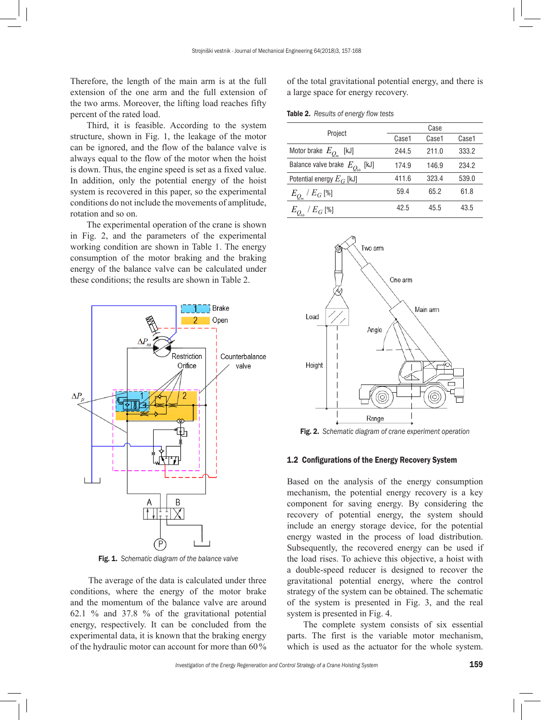Therefore, the length of the main arm is at the full extension of the one arm and the full extension of the two arms. Moreover, the lifting load reaches fifty percent of the rated load.

Third, it is feasible. According to the system structure, shown in Fig. 1, the leakage of the motor can be ignored, and the flow of the balance valve is always equal to the flow of the motor when the hoist is down. Thus, the engine speed is set as a fixed value. In addition, only the potential energy of the hoist system is recovered in this paper, so the experimental conditions do not include the movements of amplitude, rotation and so on.

The experimental operation of the crane is shown in Fig. 2, and the parameters of the experimental working condition are shown in Table 1. The energy consumption of the motor braking and the braking energy of the balance valve can be calculated under these conditions; the results are shown in Table 2.



Fig. 1. *Schematic diagram of the balance valve*

The average of the data is calculated under three conditions, where the energy of the motor brake and the momentum of the balance valve are around 62.1 % and 37.8 % of the gravitational potential energy, respectively. It can be concluded from the experimental data, it is known that the braking energy of the hydraulic motor can account for more than 60%

of the total gravitational potential energy, and there is a large space for energy recovery.

|  |  |  | Table 2. Results of energy flow tests |
|--|--|--|---------------------------------------|
|--|--|--|---------------------------------------|

| Project                                  | Case  |       |       |  |
|------------------------------------------|-------|-------|-------|--|
|                                          | Case1 | Case1 | Case1 |  |
| Motor brake $E_{Q_m}$ [kJ]               | 244.5 | 211.0 | 333.2 |  |
| Balance valve brake $E_{Q_{bb}}$<br>[kJ] | 174.9 | 146.9 | 234.2 |  |
| Potential energy $E_G$ [kJ]              | 411.6 | 323.4 | 539.0 |  |
| $E_{Q_{m}}$ / $E_{G}\left[ \% \right]$   | 59.4  | 65.2  | 61.8  |  |
| $/E_G$ [%]                               | 42.5  | 45.5  | 43.5  |  |



Fig. 2. *Schematic diagram of crane experiment operation*

## 1.2 Configurations of the Energy Recovery System

Based on the analysis of the energy consumption mechanism, the potential energy recovery is a key component for saving energy. By considering the recovery of potential energy, the system should include an energy storage device, for the potential energy wasted in the process of load distribution. Subsequently, the recovered energy can be used if the load rises. To achieve this objective, a hoist with a double-speed reducer is designed to recover the gravitational potential energy, where the control strategy of the system can be obtained. The schematic of the system is presented in Fig. 3, and the real system is presented in Fig. 4.

The complete system consists of six essential parts. The first is the variable motor mechanism, which is used as the actuator for the whole system.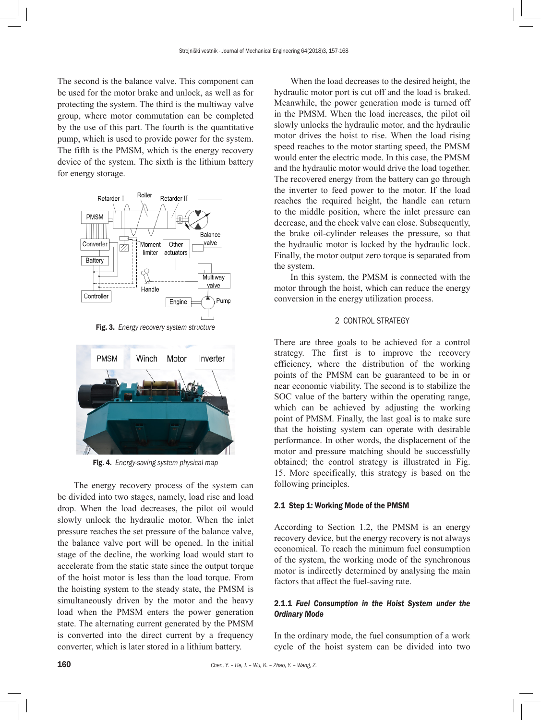The second is the balance valve. This component can be used for the motor brake and unlock, as well as for protecting the system. The third is the multiway valve group, where motor commutation can be completed by the use of this part. The fourth is the quantitative pump, which is used to provide power for the system. The fifth is the PMSM, which is the energy recovery device of the system. The sixth is the lithium battery for energy storage.



Fig. 3. *Energy recovery system structure*



Fig. 4. *Energy-saving system physical map*

The energy recovery process of the system can be divided into two stages, namely, load rise and load drop. When the load decreases, the pilot oil would slowly unlock the hydraulic motor. When the inlet pressure reaches the set pressure of the balance valve, the balance valve port will be opened. In the initial stage of the decline, the working load would start to accelerate from the static state since the output torque of the hoist motor is less than the load torque. From the hoisting system to the steady state, the PMSM is simultaneously driven by the motor and the heavy load when the PMSM enters the power generation state. The alternating current generated by the PMSM is converted into the direct current by a frequency converter, which is later stored in a lithium battery.

When the load decreases to the desired height, the hydraulic motor port is cut off and the load is braked. Meanwhile, the power generation mode is turned off in the PMSM. When the load increases, the pilot oil slowly unlocks the hydraulic motor, and the hydraulic motor drives the hoist to rise. When the load rising speed reaches to the motor starting speed, the PMSM would enter the electric mode. In this case, the PMSM and the hydraulic motor would drive the load together. The recovered energy from the battery can go through the inverter to feed power to the motor. If the load reaches the required height, the handle can return to the middle position, where the inlet pressure can decrease, and the check valve can close. Subsequently, the brake oil-cylinder releases the pressure, so that the hydraulic motor is locked by the hydraulic lock. Finally, the motor output zero torque is separated from the system.

In this system, the PMSM is connected with the motor through the hoist, which can reduce the energy conversion in the energy utilization process.

# 2 CONTROL STRATEGY

There are three goals to be achieved for a control strategy. The first is to improve the recovery efficiency, where the distribution of the working points of the PMSM can be guaranteed to be in or near economic viability. The second is to stabilize the SOC value of the battery within the operating range, which can be achieved by adjusting the working point of PMSM. Finally, the last goal is to make sure that the hoisting system can operate with desirable performance. In other words, the displacement of the motor and pressure matching should be successfully obtained; the control strategy is illustrated in Fig. 15. More specifically, this strategy is based on the following principles.

### 2.1 Step 1: Working Mode of the PMSM

According to Section 1.2, the PMSM is an energy recovery device, but the energy recovery is not always economical. To reach the minimum fuel consumption of the system, the working mode of the synchronous motor is indirectly determined by analysing the main factors that affect the fuel-saving rate.

# 2.1.1 *Fuel Consumption in the Hoist System under the Ordinary Mode*

In the ordinary mode, the fuel consumption of a work cycle of the hoist system can be divided into two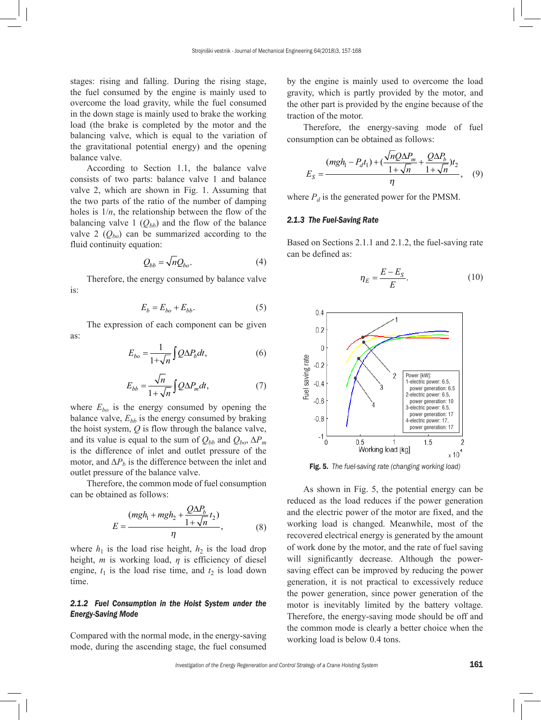stages: rising and falling. During the rising stage, the fuel consumed by the engine is mainly used to overcome the load gravity, while the fuel consumed in the down stage is mainly used to brake the working load (the brake is completed by the motor and the balancing valve, which is equal to the variation of the gravitational potential energy) and the opening balance valve.

According to Section 1.1, the balance valve consists of two parts: balance valve 1 and balance valve 2, which are shown in Fig. 1. Assuming that the two parts of the ratio of the number of damping holes is  $1/n$ , the relationship between the flow of the balancing valve 1  $(Q_{bb})$  and the flow of the balance valve 2  $(Q_{bo})$  can be summarized according to the fluid continuity equation:

$$
Q_{bb} = \sqrt{n} Q_{bo}.\tag{4}
$$

Therefore, the energy consumed by balance valve is:

$$
E_b = E_{bo} + E_{bb}.\tag{5}
$$

The expression of each component can be given as:

$$
E_{bo} = \frac{1}{1 + \sqrt{n}} \int Q \Delta P_b dt,
$$
\n(6)

$$
E_{bb} = \frac{\sqrt{n}}{1 + \sqrt{n}} \int Q \Delta P_m dt, \tag{7}
$$

where  $E_{bo}$  is the energy consumed by opening the balance valve,  $E_{bb}$  is the energy consumed by braking the hoist system, *Q* is flow through the balance valve, and its value is equal to the sum of  $Q_{bb}$  and  $Q_{bo}$ ,  $\Delta P_m$ is the difference of inlet and outlet pressure of the motor, and  $\Delta P_b$  is the difference between the inlet and outlet pressure of the balance valve.

Therefore, the common mode of fuel consumption can be obtained as follows:

$$
E = \frac{(mgh_1 + mgh_2 + \frac{Q\Delta P_b}{1 + \sqrt{n}}t_2)}{\eta},
$$
 (8)

where  $h_1$  is the load rise height,  $h_2$  is the load drop height, *m* is working load, *η* is efficiency of diesel engine,  $t_1$  is the load rise time, and  $t_2$  is load down time.

## *2.1.2 Fuel Consumption in the Hoist System under the Energy-Saving Mode*

Compared with the normal mode, in the energy-saving mode, during the ascending stage, the fuel consumed by the engine is mainly used to overcome the load gravity, which is partly provided by the motor, and the other part is provided by the engine because of the traction of the motor.

Therefore, the energy-saving mode of fuel consumption can be obtained as follows:

$$
E_S = \frac{(mgh_1 - P_d t_1) + (\frac{\sqrt{nQ}\Delta P_m}{1 + \sqrt{n}} + \frac{Q\Delta P_b}{1 + \sqrt{n}})t_2}{\eta}, \quad (9)
$$

where  $P_d$  is the generated power for the PMSM.

# *2.1.3 The Fuel-Saving Rate*

Based on Sections 2.1.1 and 2.1.2, the fuel-saving rate can be defined as:

$$
\eta_E = \frac{E - E_S}{E}.\tag{10}
$$



Fig. 5. *The fuel-saving rate (changing working load)*

As shown in Fig. 5, the potential energy can be reduced as the load reduces if the power generation and the electric power of the motor are fixed, and the working load is changed. Meanwhile, most of the recovered electrical energy is generated by the amount of work done by the motor, and the rate of fuel saving will significantly decrease. Although the powersaving effect can be improved by reducing the power generation, it is not practical to excessively reduce the power generation, since power generation of the motor is inevitably limited by the battery voltage. Therefore, the energy-saving mode should be off and the common mode is clearly a better choice when the working load is below 0.4 tons.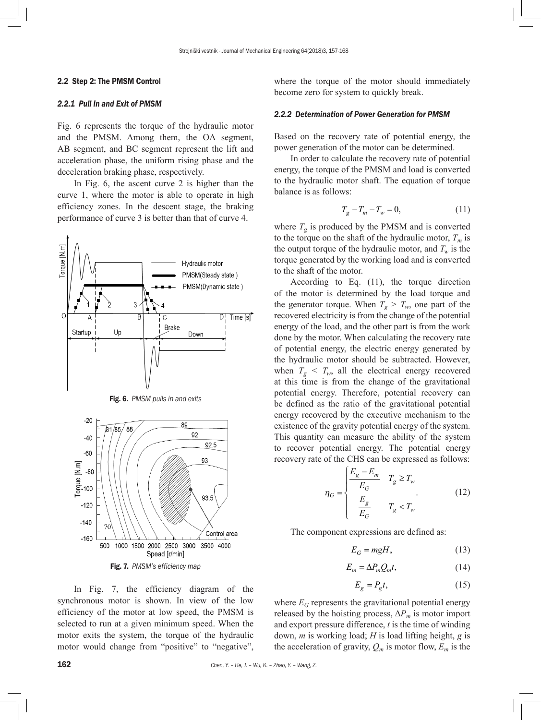#### 2.2 Step 2: The PMSM Control

# *2.2.1 Pull in and Exit of PMSM*

Fig. 6 represents the torque of the hydraulic motor and the PMSM. Among them, the OA segment, AB segment, and BC segment represent the lift and acceleration phase, the uniform rising phase and the deceleration braking phase, respectively.

In Fig. 6, the ascent curve 2 is higher than the curve 1, where the motor is able to operate in high efficiency zones. In the descent stage, the braking performance of curve 3 is better than that of curve 4.



Fig. 6. *PMSM pulls in and exits*



In Fig. 7, the efficiency diagram of the synchronous motor is shown. In view of the low efficiency of the motor at low speed, the PMSM is selected to run at a given minimum speed. When the motor exits the system, the torque of the hydraulic motor would change from "positive" to "negative",

where the torque of the motor should immediately become zero for system to quickly break.

#### *2.2.2 Determination of Power Generation for PMSM*

Based on the recovery rate of potential energy, the power generation of the motor can be determined.

In order to calculate the recovery rate of potential energy, the torque of the PMSM and load is converted to the hydraulic motor shaft. The equation of torque balance is as follows:

$$
T_g - T_m - T_w = 0,\t\t(11)
$$

where  $T_g$  is produced by the PMSM and is converted to the torque on the shaft of the hydraulic motor,  $T_m$  is the output torque of the hydraulic motor, and  $T_w$  is the torque generated by the working load and is converted to the shaft of the motor.

According to Eq. (11), the torque direction of the motor is determined by the load torque and the generator torque. When  $T_g > T_w$ , one part of the recovered electricity is from the change of the potential energy of the load, and the other part is from the work done by the motor. When calculating the recovery rate of potential energy, the electric energy generated by the hydraulic motor should be subtracted. However, when  $T_g < T_w$ , all the electrical energy recovered at this time is from the change of the gravitational potential energy. Therefore, potential recovery can be defined as the ratio of the gravitational potential energy recovered by the executive mechanism to the existence of the gravity potential energy of the system. This quantity can measure the ability of the system to recover potential energy. The potential energy recovery rate of the CHS can be expressed as follows:

$$
\eta_G = \begin{cases} \frac{E_g - E_m}{E_G} & T_g \ge T_w\\ \frac{E_g}{E_G} & T_g < T_w \end{cases} \tag{12}
$$

The component expressions are defined as:

$$
E_G = mgH,\tag{13}
$$

$$
E_m = \Delta P_m Q_m t,\tag{14}
$$

$$
E_g = P_g t,\tag{15}
$$

where  $E_G$  represents the gravitational potential energy released by the hoisting process,  $\Delta P_m$  is motor import and export pressure difference, *t* is the time of winding down, *m* is working load; *H* is load lifting height, *g* is the acceleration of gravity,  $Q_m$  is motor flow,  $E_m$  is the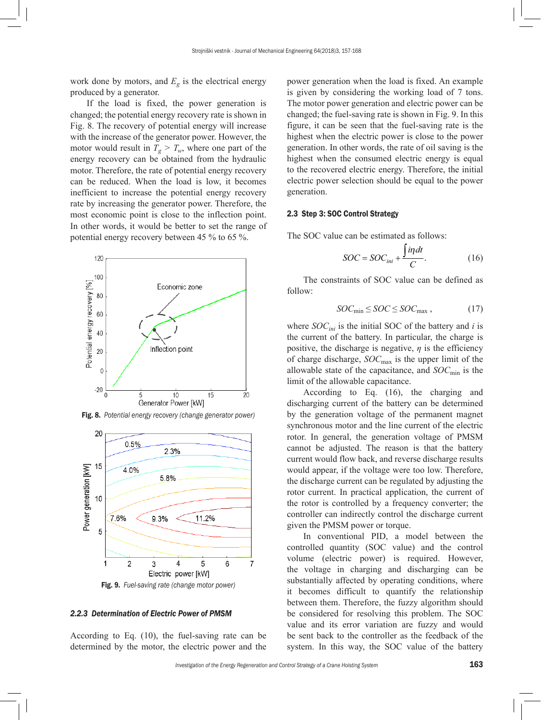work done by motors, and  $E<sub>g</sub>$  is the electrical energy produced by a generator.

If the load is fixed, the power generation is changed; the potential energy recovery rate is shown in Fig. 8. The recovery of potential energy will increase with the increase of the generator power. However, the motor would result in  $T_g > T_w$ , where one part of the energy recovery can be obtained from the hydraulic motor. Therefore, the rate of potential energy recovery can be reduced. When the load is low, it becomes inefficient to increase the potential energy recovery rate by increasing the generator power. Therefore, the most economic point is close to the inflection point. In other words, it would be better to set the range of potential energy recovery between 45 % to 65 %.



Fig. 8. *Potential energy recovery (change generator power)*



Fig. 9. *Fuel-saving rate (change motor power)*

## *2.2.3 Determination of Electric Power of PMSM*

According to Eq. (10), the fuel-saving rate can be determined by the motor, the electric power and the power generation when the load is fixed. An example is given by considering the working load of 7 tons. The motor power generation and electric power can be changed; the fuel-saving rate is shown in Fig. 9. In this figure, it can be seen that the fuel-saving rate is the highest when the electric power is close to the power generation. In other words, the rate of oil saving is the highest when the consumed electric energy is equal to the recovered electric energy. Therefore, the initial electric power selection should be equal to the power generation.

# 2.3 Step 3: SOC Control Strategy

The SOC value can be estimated as follows:

$$
SOC = SOC_{ini} + \frac{\int i\eta dt}{C}.
$$
 (16)

The constraints of SOC value can be defined as follow:

$$
SOC_{\text{min}} \leq SOC \leq SOC_{\text{max}} , \qquad (17)
$$

where  $SOC<sub>ini</sub>$  is the initial SOC of the battery and *i* is the current of the battery. In particular, the charge is positive, the discharge is negative,  $\eta$  is the efficiency of charge discharge, *SOC*max is the upper limit of the allowable state of the capacitance, and *SOC*min is the limit of the allowable capacitance.

According to Eq. (16), the charging and discharging current of the battery can be determined by the generation voltage of the permanent magnet synchronous motor and the line current of the electric rotor. In general, the generation voltage of PMSM cannot be adjusted. The reason is that the battery current would flow back, and reverse discharge results would appear, if the voltage were too low. Therefore, the discharge current can be regulated by adjusting the rotor current. In practical application, the current of the rotor is controlled by a frequency converter; the controller can indirectly control the discharge current given the PMSM power or torque.

In conventional PID, a model between the controlled quantity (SOC value) and the control volume (electric power) is required. However, the voltage in charging and discharging can be substantially affected by operating conditions, where it becomes difficult to quantify the relationship between them. Therefore, the fuzzy algorithm should be considered for resolving this problem. The SOC value and its error variation are fuzzy and would be sent back to the controller as the feedback of the system. In this way, the SOC value of the battery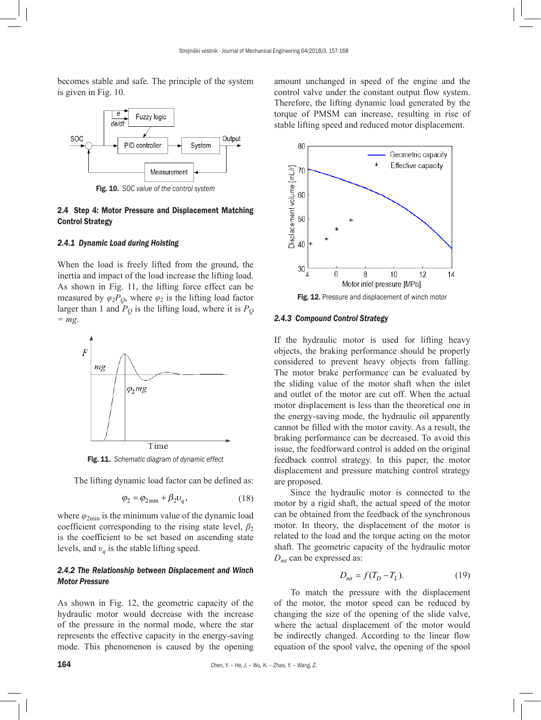becomes stable and safe. The principle of the system is given in Fig. 10.



Fig. 10. *SOC value of the control system*

## 2.4 Step 4: Motor Pressure and Displacement Matching Control Strategy

## *2.4.1 Dynamic Load during Hoisting*

When the load is freely lifted from the ground, the inertia and impact of the load increase the lifting load. As shown in Fig. 11, the lifting force effect can be measured by  $\varphi_2 P_0$ , where  $\varphi_2$  is the lifting load factor larger than 1 and  $\overline{P}_O$  is the lifting load, where it is  $P_Q$ *= mg*.



Fig. 11. *Schematic diagram of dynamic effect*

The lifting dynamic load factor can be defined as:

$$
\varphi_2 = \varphi_{2\min} + \beta_2 \upsilon_q, \qquad (18)
$$

where  $\varphi_{2\text{min}}$  is the minimum value of the dynamic load coefficient corresponding to the rising state level,  $\beta_2$ is the coefficient to be set based on ascending state levels, and  $v_a$  is the stable lifting speed.

# *2.4.2 The Relationship between Displacement and Winch Motor Pressure*

As shown in Fig. 12, the geometric capacity of the hydraulic motor would decrease with the increase of the pressure in the normal mode, where the star represents the effective capacity in the energy-saving mode. This phenomenon is caused by the opening amount unchanged in speed of the engine and the control valve under the constant output flow system. Therefore, the lifting dynamic load generated by the torque of PMSM can increase, resulting in rise of stable lifting speed and reduced motor displacement.



Fig. 12. Pressure and displacement of winch motor

## *2.4.3 Compound Control Strategy*

If the hydraulic motor is used for lifting heavy objects, the braking performance should be properly considered to prevent heavy objects from falling. The motor brake performance can be evaluated by the sliding value of the motor shaft when the inlet and outlet of the motor are cut off. When the actual motor displacement is less than the theoretical one in the energy-saving mode, the hydraulic oil apparently cannot be filled with the motor cavity. As a result, the braking performance can be decreased. To avoid this issue, the feedforward control is added on the original feedback control strategy. In this paper, the motor displacement and pressure matching control strategy are proposed.

Since the hydraulic motor is connected to the motor by a rigid shaft, the actual speed of the motor can be obtained from the feedback of the synchronous motor. In theory, the displacement of the motor is related to the load and the torque acting on the motor shaft. The geometric capacity of the hydraulic motor *Dmt* can be expressed as:

$$
D_{mt} = f(T_D - T_L). \tag{19}
$$

To match the pressure with the displacement of the motor, the motor speed can be reduced by changing the size of the opening of the slide valve, where the actual displacement of the motor would be indirectly changed. According to the linear flow equation of the spool valve, the opening of the spool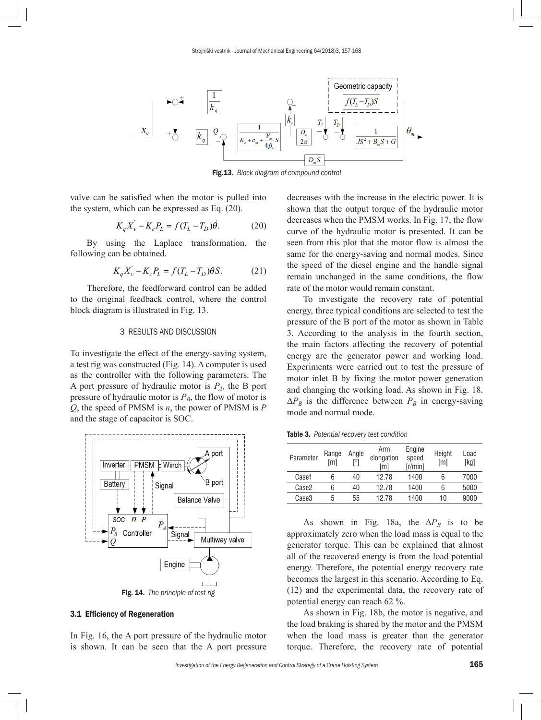

Fig.13. *Block diagram of compound control*

valve can be satisfied when the motor is pulled into the system, which can be expressed as Eq. (20).

$$
K_q X_v' - K_c P_L = f(T_L - T_D)\dot{\theta}.
$$
 (20)

By using the Laplace transformation, the following can be obtained.

$$
K_q X_v^{\dagger} - K_c P_L = f(T_L - T_D)\theta S. \tag{21}
$$

Therefore, the feedforward control can be added to the original feedback control, where the control block diagram is illustrated in Fig. 13.

#### 3 RESULTS AND DISCUSSION

To investigate the effect of the energy-saving system, a test rig was constructed (Fig. 14). A computer is used as the controller with the following parameters. The A port pressure of hydraulic motor is *PA*, the B port pressure of hydraulic motor is  $P_B$ , the flow of motor is *Q*, the speed of PMSM is *n*, the power of PMSM is *P* and the stage of capacitor is SOC.



## 3.1 Efficiency of Regeneration

In Fig. 16, the A port pressure of the hydraulic motor is shown. It can be seen that the A port pressure decreases with the increase in the electric power. It is shown that the output torque of the hydraulic motor decreases when the PMSM works. In Fig. 17, the flow curve of the hydraulic motor is presented. It can be seen from this plot that the motor flow is almost the same for the energy-saving and normal modes. Since the speed of the diesel engine and the handle signal remain unchanged in the same conditions, the flow rate of the motor would remain constant.

To investigate the recovery rate of potential energy, three typical conditions are selected to test the pressure of the B port of the motor as shown in Table 3. According to the analysis in the fourth section, the main factors affecting the recovery of potential energy are the generator power and working load. Experiments were carried out to test the pressure of motor inlet B by fixing the motor power generation and changing the working load. As shown in Fig. 18.  $\Delta P_B$  is the difference between  $P_B$  in energy-saving mode and normal mode.

Table 3. *Potential recovery test condition*

| Parameter | Range<br>[m] | Angle<br>[°] | Arm<br>elongation<br>[m] | Engine<br>speed<br>[r/min] | Height<br>[m] | Load<br>[kg] |
|-----------|--------------|--------------|--------------------------|----------------------------|---------------|--------------|
| Case1     | 6            | 40           | 1278                     | 1400                       | 6             | 7000         |
| Case2     | 6            | 40           | 12.78                    | 1400                       | 6             | 5000         |
| Case3     | 5            | 55           | 1278                     | 1400                       | 10            | 9000         |

As shown in Fig. 18a, the  $\Delta P_B$  is to be approximately zero when the load mass is equal to the generator torque. This can be explained that almost all of the recovered energy is from the load potential energy. Therefore, the potential energy recovery rate becomes the largest in this scenario. According to Eq. (12) and the experimental data, the recovery rate of potential energy can reach 62 %.

As shown in Fig. 18b, the motor is negative, and the load braking is shared by the motor and the PMSM when the load mass is greater than the generator torque. Therefore, the recovery rate of potential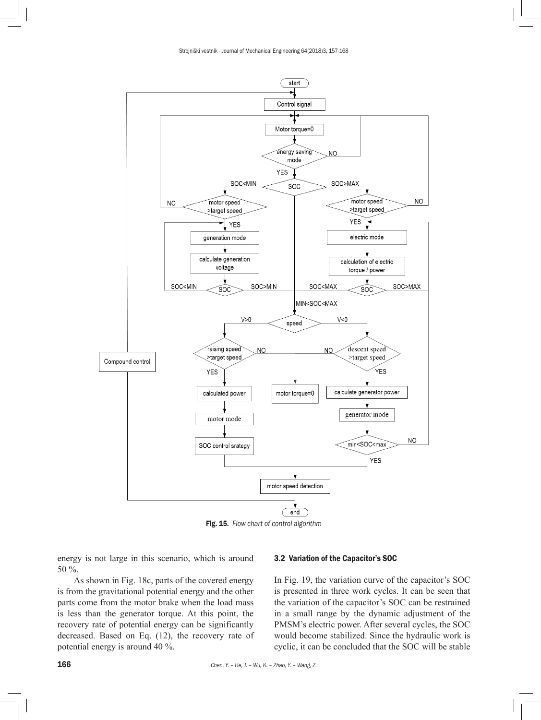

Fig. 15. *Flow chart of control algorithm*

energy is not large in this scenario, which is around 50 %.

As shown in Fig. 18c, parts of the covered energy is from the gravitational potential energy and the other parts come from the motor brake when the load mass is less than the generator torque. At this point, the recovery rate of potential energy can be significantly decreased. Based on Eq. (12), the recovery rate of potential energy is around 40 %.

### 3.2 Variation of the Capacitor's SOC

In Fig. 19, the variation curve of the capacitor's SOC is presented in three work cycles. It can be seen that the variation of the capacitor's SOC can be restrained in a small range by the dynamic adjustment of the PMSM's electric power. After several cycles, the SOC would become stabilized. Since the hydraulic work is cyclic, it can be concluded that the SOC will be stable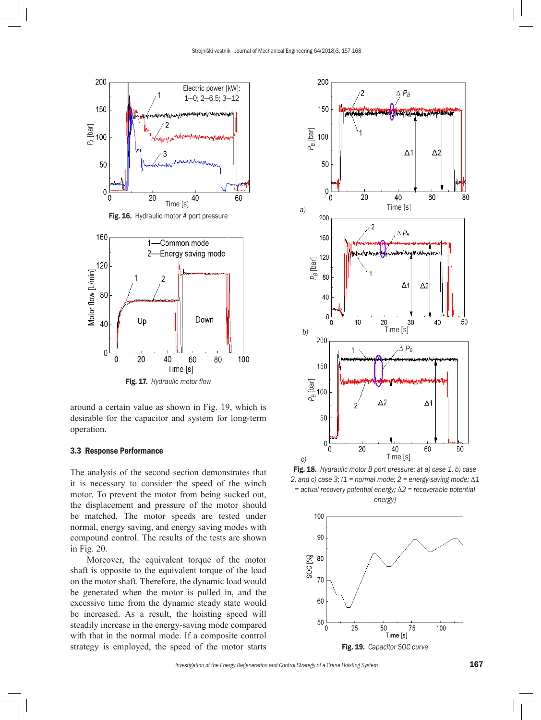

around a certain value as shown in Fig. 19, which is desirable for the capacitor and system for long-term operation.

## 3.3 Response Performance

The analysis of the second section demonstrates that it is necessary to consider the speed of the winch motor. To prevent the motor from being sucked out, the displacement and pressure of the motor should be matched. The motor speeds are tested under normal, energy saving, and energy saving modes with compound control. The results of the tests are shown in Fig. 20.

Moreover, the equivalent torque of the motor shaft is opposite to the equivalent torque of the load on the motor shaft. Therefore, the dynamic load would be generated when the motor is pulled in, and the excessive time from the dynamic steady state would be increased. As a result, the hoisting speed will steadily increase in the energy-saving mode compared with that in the normal mode. If a composite control strategy is employed, the speed of the motor starts